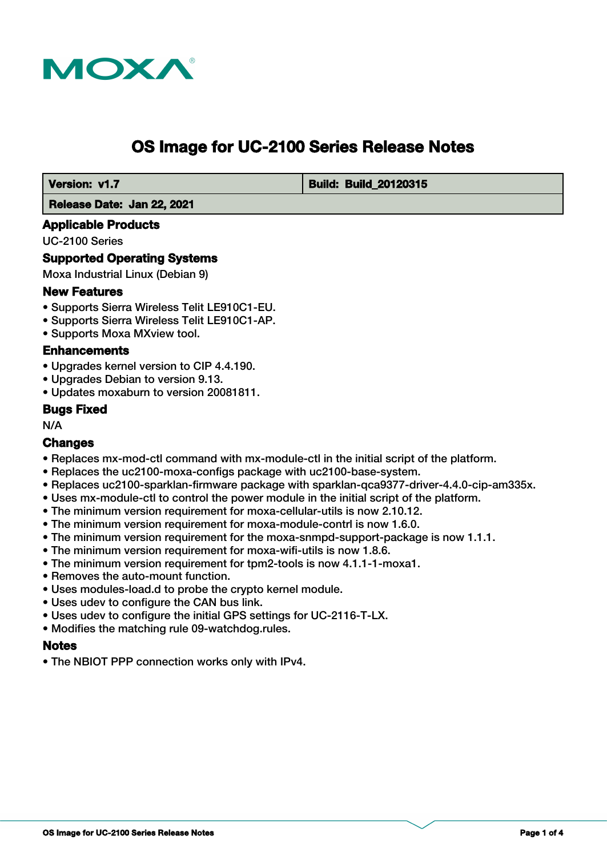

# **OS Image for UC-2100 Series Release Notes**

 **Version: v1.7 Build: Build: Build: 20120315** 

 **Release Date: Jan 22, 2021**

## **Applicable Products**

UC-2100 Series

## **Supported Operating Systems**

Moxa Industrial Linux (Debian 9)

# **New Features**

- Supports Sierra Wireless Telit LE910C1-EU.
- Supports Sierra Wireless Telit LE910C1-AP.
- Supports Moxa MXview tool.

## **Enhancements**

- Upgrades kernel version to CIP 4.4.190.
- Upgrades Debian to version 9.13.
- Updates moxaburn to version 20081811.

#### **Bugs Fixed**

N/A

#### **Changes**

- Replaces mx-mod-ctl command with mx-module-ctl in the initial script of the platform.
- Replaces the uc2100-moxa-configs package with uc2100-base-system.
- Replaces uc2100-sparklan-firmware package with sparklan-qca9377-driver-4.4.0-cip-am335x.
- Uses mx-module-ctl to control the power module in the initial script of the platform.
- The minimum version requirement for moxa-cellular-utils is now 2.10.12.
- The minimum version requirement for moxa-module-contrl is now 1.6.0.
- The minimum version requirement for the moxa-snmpd-support-package is now 1.1.1.
- The minimum version requirement for moxa-wifi-utils is now 1.8.6.
- The minimum version requirement for tpm2-tools is now 4.1.1-1-moxa1.
- Removes the auto-mount function.
- Uses modules-load.d to probe the crypto kernel module.
- Uses udev to configure the CAN bus link.
- Uses udev to configure the initial GPS settings for UC-2116-T-LX.
- Modifies the matching rule 09-watchdog.rules.

# **Notes**

• The NBIOT PPP connection works only with IPv4.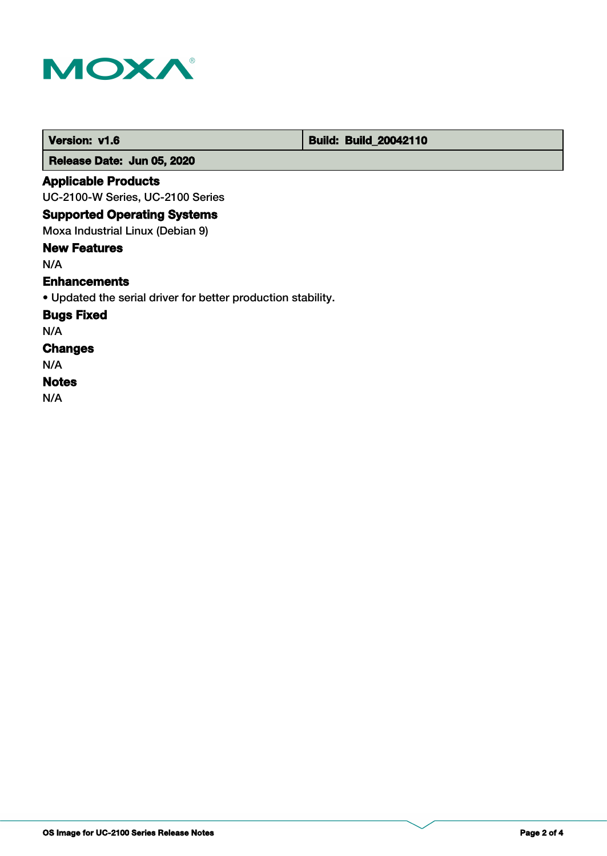

 **Version: v1.6 Build: Build: Build: 20042110** 

 **Release Date: Jun 05, 2020**

# **Applicable Products**

UC-2100-W Series, UC-2100 Series

# **Supported Operating Systems**

Moxa Industrial Linux (Debian 9)

# **New Features**

N/A

## **Enhancements**

• Updated the serial driver for better production stability.

# **Bugs Fixed**

N/A

# **Changes**

N/A

# **Notes**

N/A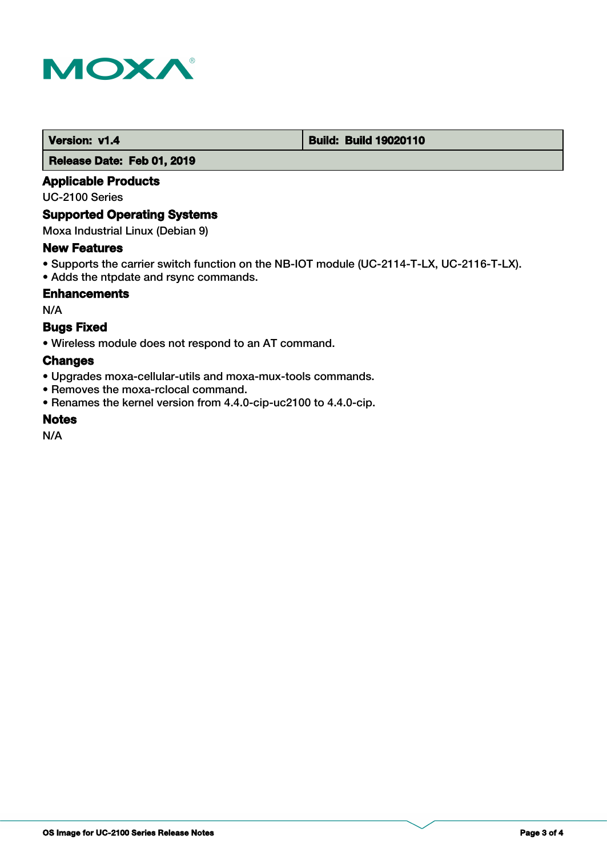

#### **Version: v1.4 1.4 Build: Build: Build 19020110**

 **Release Date: Feb 01, 2019**

# **Applicable Products**

UC-2100 Series

## **Supported Operating Systems**

Moxa Industrial Linux (Debian 9)

#### **New Features**

- Supports the carrier switch function on the NB-IOT module (UC-2114-T-LX, UC-2116-T-LX).
- Adds the ntpdate and rsync commands.

## **Enhancements**

N/A

# **Bugs Fixed**

• Wireless module does not respond to an AT command.

# **Changes**

- Upgrades moxa-cellular-utils and moxa-mux-tools commands.
- Removes the moxa-rclocal command.
- Renames the kernel version from 4.4.0-cip-uc2100 to 4.4.0-cip.

## **Notes**

N/A